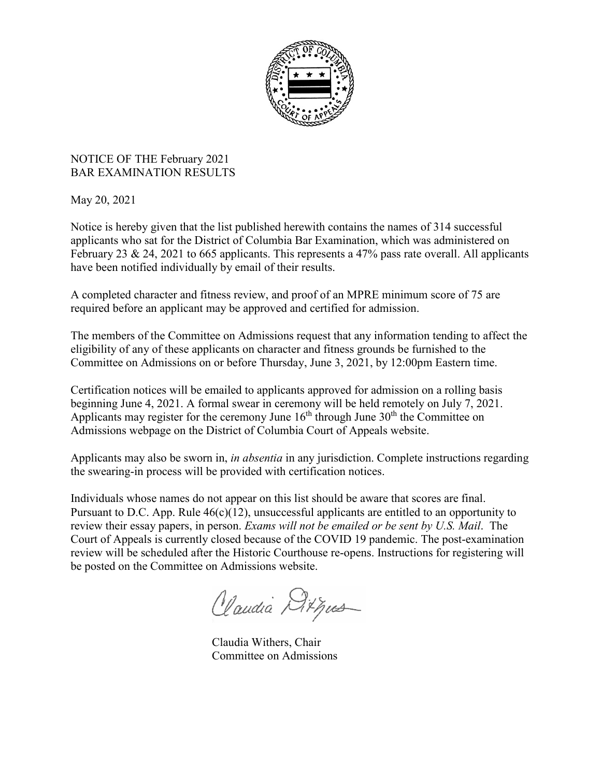

## NOTICE OF THE February 2021 BAR EXAMINATION RESULTS

May 20, 2021

Notice is hereby given that the list published herewith contains the names of 314 successful applicants who sat for the District of Columbia Bar Examination, which was administered on February 23 & 24, 2021 to 665 applicants. This represents a 47% pass rate overall. All applicants have been notified individually by email of their results.

A completed character and fitness review, and proof of an MPRE minimum score of 75 are required before an applicant may be approved and certified for admission.

The members of the Committee on Admissions request that any information tending to affect the eligibility of any of these applicants on character and fitness grounds be furnished to the Committee on Admissions on or before Thursday, June 3, 2021, by 12:00pm Eastern time.

Certification notices will be emailed to applicants approved for admission on a rolling basis beginning June 4, 2021. A formal swear in ceremony will be held remotely on July 7, 2021. Applicants may register for the ceremony June  $16<sup>th</sup>$  through June  $30<sup>th</sup>$  the Committee on Admissions webpage on the District of Columbia Court of Appeals website.

Applicants may also be sworn in, *in absentia* in any jurisdiction. Complete instructions regarding the swearing-in process will be provided with certification notices.

Individuals whose names do not appear on this list should be aware that scores are final. Pursuant to D.C. App. Rule 46(c)(12), unsuccessful applicants are entitled to an opportunity to review their essay papers, in person. *Exams will not be emailed or be sent by U.S. Mail*. The Court of Appeals is currently closed because of the COVID 19 pandemic. The post-examination review will be scheduled after the Historic Courthouse re-opens. Instructions for registering will be posted on the Committee on Admissions website.

Claudia Ditpus

Claudia Withers, Chair Committee on Admissions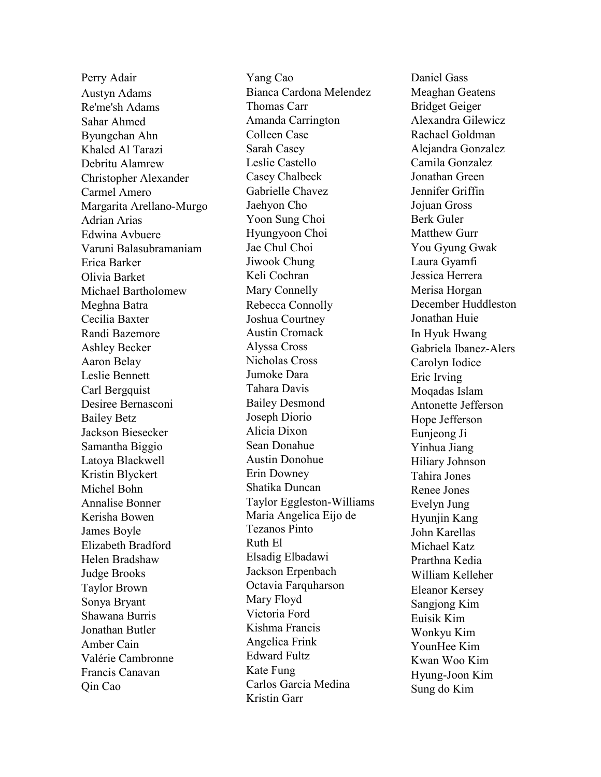Perry Adair Austyn Adams Re'me'sh Adams Sahar Ahmed Byungchan Ahn Khaled Al Tarazi Debritu Alamrew Christopher Alexander Carmel Amero Margarita Arellano-Murgo Adrian Arias Edwina Avbuere Varuni Balasubramaniam Erica Barker Olivia Barket Michael Bartholomew Meghna Batra Cecilia Baxter Randi Bazemore Ashley Becker Aaron Belay Leslie Bennett Carl Bergquist Desiree Bernasconi Bailey Betz Jackson Biesecker Samantha Biggio Latoya Blackwell Kristin Blyckert Michel Bohn Annalise Bonner Kerisha Bowen James Boyle Elizabeth Bradford Helen Bradshaw Judge Brooks Taylor Brown Sonya Bryant Shawana Burris Jonathan Butler Amber Cain Valérie Cambronne Francis Canavan Qin Cao

Yang Cao Bianca Cardona Melendez Thomas Carr Amanda Carrington Colleen Case Sarah Casey Leslie Castello Casey Chalbeck Gabrielle Chavez Jaehyon Cho Yoon Sung Choi Hyungyoon Choi Jae Chul Choi Jiwook Chung Keli Cochran Mary Connelly Rebecca Connolly Joshua Courtney Austin Cromack Alyssa Cross Nicholas Cross Jumoke Dara Tahara Davis Bailey Desmond Joseph Diorio Alicia Dixon Sean Donahue Austin Donohue Erin Downey Shatika Duncan Taylor Eggleston-Williams Maria Angelica Eijo de Tezanos Pinto Ruth El Elsadig Elbadawi Jackson Erpenbach Octavia Farquharson Mary Floyd Victoria Ford Kishma Francis Angelica Frink Edward Fultz Kate Fung Carlos Garcia Medina Kristin Garr

Daniel Gass Meaghan Geatens Bridget Geiger Alexandra Gilewicz Rachael Goldman Alejandra Gonzalez Camila Gonzalez Jonathan Green Jennifer Griffin Jojuan Gross Berk Guler Matthew Gurr You Gyung Gwak Laura Gyamfi Jessica Herrera Merisa Horgan December Huddleston Jonathan Huie In Hyuk Hwang Gabriela Ibanez-Alers Carolyn Iodice Eric Irving Moqadas Islam Antonette Jefferson Hope Jefferson Eunjeong Ji Yinhua Jiang Hiliary Johnson Tahira Jones Renee Jones Evelyn Jung Hyunjin Kang John Karellas Michael Katz Prarthna Kedia William Kelleher Eleanor Kersey Sangjong Kim Euisik Kim Wonkyu Kim YounHee Kim Kwan Woo Kim Hyung-Joon Kim Sung do Kim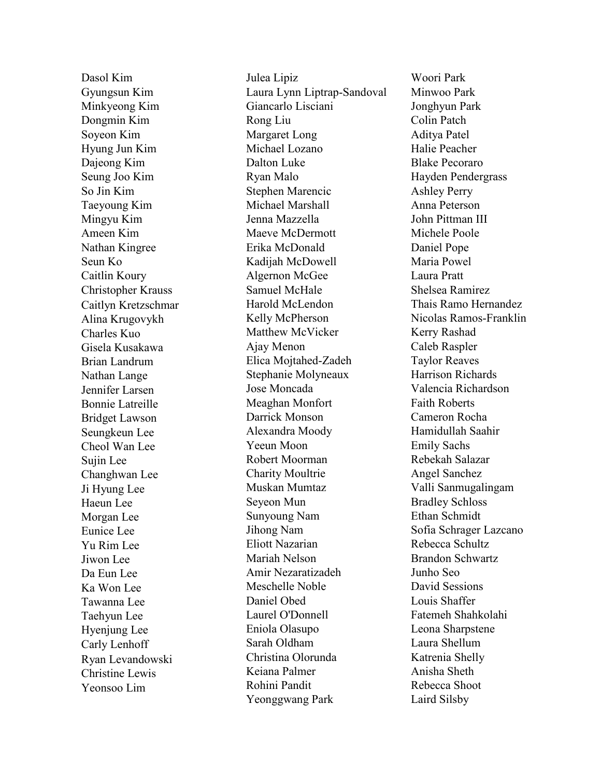Dasol Kim Gyungsun Kim Minkyeong Kim Dongmin Kim Soyeon Kim Hyung Jun Kim Dajeong Kim Seung Joo Kim So Jin Kim Taeyoung Kim Mingyu Kim Ameen Kim Nathan Kingree Seun Ko Caitlin Koury Christopher Krauss Caitlyn Kretzschmar Alina Krugovykh Charles Kuo Gisela Kusakawa Brian Landrum Nathan Lange Jennifer Larsen Bonnie Latreille Bridget Lawson Seungkeun Lee Cheol Wan Lee Sujin Lee Changhwan Lee Ji Hyung Lee Haeun Lee Morgan Lee Eunice Lee Yu Rim Lee Jiwon Lee Da Eun Lee Ka Won Lee Tawanna Lee Taehyun Lee Hyenjung Lee Carly Lenhoff Ryan Levandowski Christine Lewis Yeonsoo Lim

Julea Lipiz Laura Lynn Liptrap-Sandoval Giancarlo Lisciani Rong Liu Margaret Long Michael Lozano Dalton Luke Ryan Malo Stephen Marencic Michael Marshall Jenna Mazzella Maeve McDermott Erika McDonald Kadijah McDowell Algernon McGee Samuel McHale Harold McLendon Kelly McPherson Matthew McVicker Ajay Menon Elica Mojtahed-Zadeh Stephanie Molyneaux Jose Moncada Meaghan Monfort Darrick Monson Alexandra Moody Yeeun Moon Robert Moorman Charity Moultrie Muskan Mumtaz Seyeon Mun Sunyoung Nam Jihong Nam Eliott Nazarian Mariah Nelson Amir Nezaratizadeh Meschelle Noble Daniel Obed Laurel O'Donnell Eniola Olasupo Sarah Oldham Christina Olorunda Keiana Palmer Rohini Pandit Yeonggwang Park

Woori Park Minwoo Park Jonghyun Park Colin Patch Aditya Patel Halie Peacher Blake Pecoraro Hayden Pendergrass Ashley Perry Anna Peterson John Pittman III Michele Poole Daniel Pope Maria Powel Laura Pratt Shelsea Ramirez Thais Ramo Hernandez Nicolas Ramos-Franklin Kerry Rashad Caleb Raspler Taylor Reaves Harrison Richards Valencia Richardson Faith Roberts Cameron Rocha Hamidullah Saahir Emily Sachs Rebekah Salazar Angel Sanchez Valli Sanmugalingam Bradley Schloss Ethan Schmidt Sofia Schrager Lazcano Rebecca Schultz Brandon Schwartz Junho Seo David Sessions Louis Shaffer Fatemeh Shahkolahi Leona Sharpstene Laura Shellum Katrenia Shelly Anisha Sheth Rebecca Shoot Laird Silsby